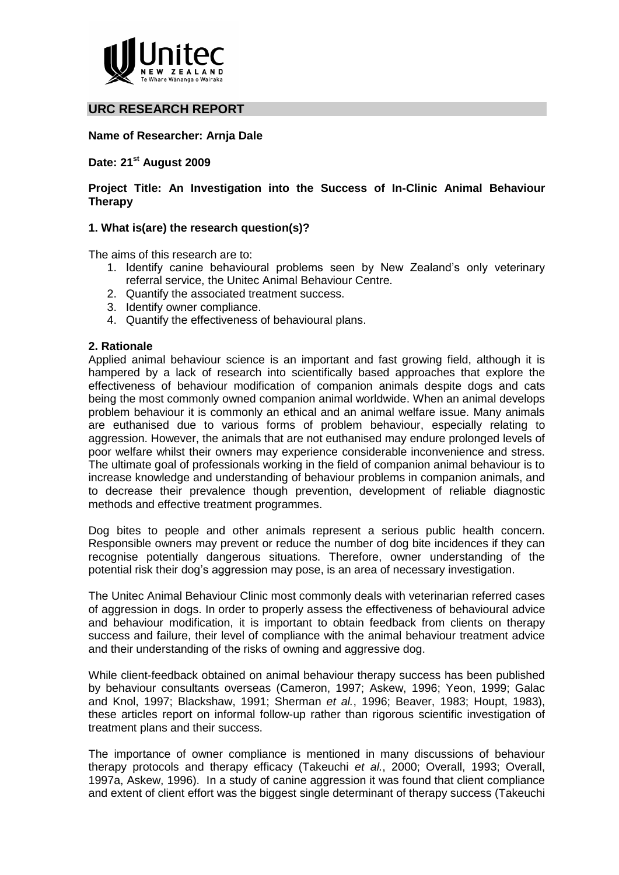

# **URC RESEARCH REPORT**

### **Name of Researcher: Arnja Dale**

# **Date: 21st August 2009**

## **Project Title: An Investigation into the Success of In-Clinic Animal Behaviour Therapy**

## **1. What is(are) the research question(s)?**

The aims of this research are to:

- 1. Identify canine behavioural problems seen by New Zealand's only veterinary referral service, the Unitec Animal Behaviour Centre.
- 2. Quantify the associated treatment success.
- 3. Identify owner compliance.
- 4. Quantify the effectiveness of behavioural plans.

#### **2. Rationale**

Applied animal behaviour science is an important and fast growing field, although it is hampered by a lack of research into scientifically based approaches that explore the effectiveness of behaviour modification of companion animals despite dogs and cats being the most commonly owned companion animal worldwide. When an animal develops problem behaviour it is commonly an ethical and an animal welfare issue. Many animals are euthanised due to various forms of problem behaviour, especially relating to aggression. However, the animals that are not euthanised may endure prolonged levels of poor welfare whilst their owners may experience considerable inconvenience and stress. The ultimate goal of professionals working in the field of companion animal behaviour is to increase knowledge and understanding of behaviour problems in companion animals, and to decrease their prevalence though prevention, development of reliable diagnostic methods and effective treatment programmes.

Dog bites to people and other animals represent a serious public health concern. Responsible owners may prevent or reduce the number of dog bite incidences if they can recognise potentially dangerous situations. Therefore, owner understanding of the potential risk their dog's aggression may pose, is an area of necessary investigation.

The Unitec Animal Behaviour Clinic most commonly deals with veterinarian referred cases of aggression in dogs. In order to properly assess the effectiveness of behavioural advice and behaviour modification, it is important to obtain feedback from clients on therapy success and failure, their level of compliance with the animal behaviour treatment advice and their understanding of the risks of owning and aggressive dog.

While client-feedback obtained on animal behaviour therapy success has been published by behaviour consultants overseas (Cameron, 1997; Askew, 1996; Yeon, 1999; Galac and Knol, 1997; Blackshaw, 1991; Sherman *et al.*, 1996; Beaver, 1983; Houpt, 1983), these articles report on informal follow-up rather than rigorous scientific investigation of treatment plans and their success.

The importance of owner compliance is mentioned in many discussions of behaviour therapy protocols and therapy efficacy (Takeuchi *et al.*, 2000; Overall, 1993; Overall, 1997a, Askew, 1996). In a study of canine aggression it was found that client compliance and extent of client effort was the biggest single determinant of therapy success (Takeuchi